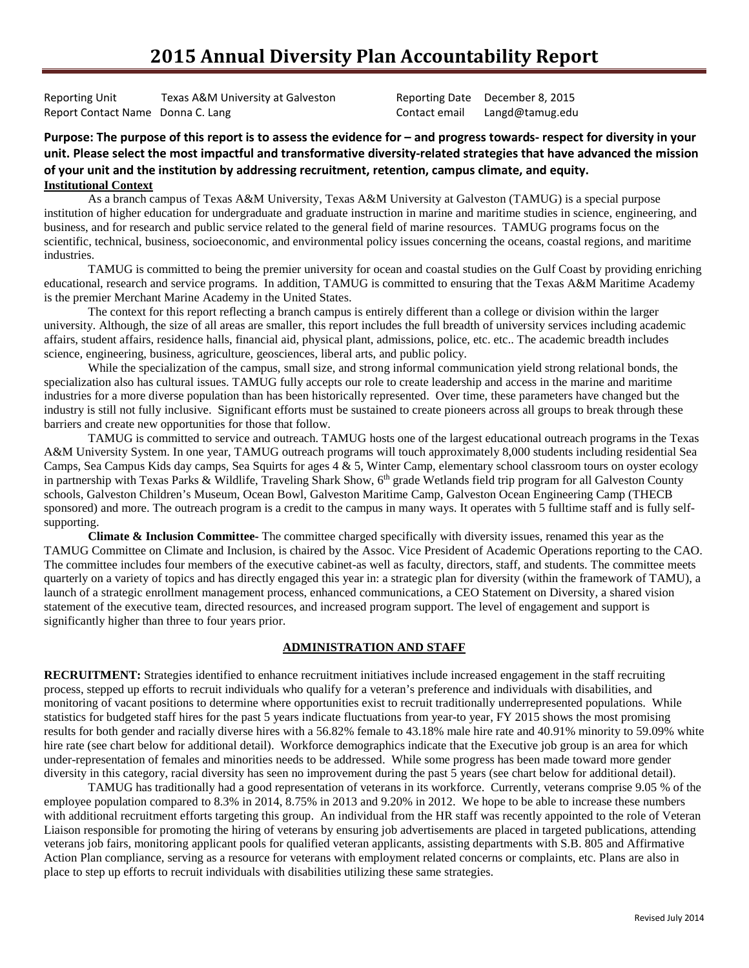# **2015 Annual Diversity Plan Accountability Report**

Reporting Unit Texas A&M University at Galveston Reporting Date December 8, 2015 Report Contact Name Donna C. Lang Contact email Langd@tamug.edu

### **Purpose: The purpose of this report is to assess the evidence for – and progress towards- respect for diversity in your unit. Please select the most impactful and transformative diversity-related strategies that have advanced the mission of your unit and the institution by addressing recruitment, retention, campus climate, and equity. Institutional Context**

As a branch campus of Texas A&M University, Texas A&M University at Galveston (TAMUG) is a special purpose institution of higher education for undergraduate and graduate instruction in marine and maritime studies in science, engineering, and business, and for research and public service related to the general field of marine resources. TAMUG programs focus on the scientific, technical, business, socioeconomic, and environmental policy issues concerning the oceans, coastal regions, and maritime industries.

TAMUG is committed to being the premier university for ocean and coastal studies on the Gulf Coast by providing enriching educational, research and service programs. In addition, TAMUG is committed to ensuring that the Texas A&M Maritime Academy is the premier Merchant Marine Academy in the United States.

The context for this report reflecting a branch campus is entirely different than a college or division within the larger university. Although, the size of all areas are smaller, this report includes the full breadth of university services including academic affairs, student affairs, residence halls, financial aid, physical plant, admissions, police, etc. etc.. The academic breadth includes science, engineering, business, agriculture, geosciences, liberal arts, and public policy.

While the specialization of the campus, small size, and strong informal communication yield strong relational bonds, the specialization also has cultural issues. TAMUG fully accepts our role to create leadership and access in the marine and maritime industries for a more diverse population than has been historically represented. Over time, these parameters have changed but the industry is still not fully inclusive. Significant efforts must be sustained to create pioneers across all groups to break through these barriers and create new opportunities for those that follow.

TAMUG is committed to service and outreach. TAMUG hosts one of the largest educational outreach programs in the Texas A&M University System. In one year, TAMUG outreach programs will touch approximately 8,000 students including residential Sea Camps, Sea Campus Kids day camps, Sea Squirts for ages  $4 \& 5$ , Winter Camp, elementary school classroom tours on oyster ecology in partnership with Texas Parks & Wildlife, Traveling Shark Show,  $6<sup>th</sup>$  grade Wetlands field trip program for all Galveston County schools, Galveston Children's Museum, Ocean Bowl, Galveston Maritime Camp, Galveston Ocean Engineering Camp (THECB sponsored) and more. The outreach program is a credit to the campus in many ways. It operates with 5 fulltime staff and is fully selfsupporting.

**Climate & Inclusion Committee-** The committee charged specifically with diversity issues, renamed this year as the TAMUG Committee on Climate and Inclusion, is chaired by the Assoc. Vice President of Academic Operations reporting to the CAO. The committee includes four members of the executive cabinet-as well as faculty, directors, staff, and students. The committee meets quarterly on a variety of topics and has directly engaged this year in: a strategic plan for diversity (within the framework of TAMU), a launch of a strategic enrollment management process, enhanced communications, a CEO Statement on Diversity, a shared vision statement of the executive team, directed resources, and increased program support. The level of engagement and support is significantly higher than three to four years prior.

### **ADMINISTRATION AND STAFF**

**RECRUITMENT:** Strategies identified to enhance recruitment initiatives include increased engagement in the staff recruiting process, stepped up efforts to recruit individuals who qualify for a veteran's preference and individuals with disabilities, and monitoring of vacant positions to determine where opportunities exist to recruit traditionally underrepresented populations. While statistics for budgeted staff hires for the past 5 years indicate fluctuations from year-to year, FY 2015 shows the most promising results for both gender and racially diverse hires with a 56.82% female to 43.18% male hire rate and 40.91% minority to 59.09% white hire rate (see chart below for additional detail). Workforce demographics indicate that the Executive job group is an area for which under-representation of females and minorities needs to be addressed. While some progress has been made toward more gender diversity in this category, racial diversity has seen no improvement during the past 5 years (see chart below for additional detail).

TAMUG has traditionally had a good representation of veterans in its workforce. Currently, veterans comprise 9.05 % of the employee population compared to 8.3% in 2014, 8.75% in 2013 and 9.20% in 2012. We hope to be able to increase these numbers with additional recruitment efforts targeting this group. An individual from the HR staff was recently appointed to the role of Veteran Liaison responsible for promoting the hiring of veterans by ensuring job advertisements are placed in targeted publications, attending veterans job fairs, monitoring applicant pools for qualified veteran applicants, assisting departments with S.B. 805 and Affirmative Action Plan compliance, serving as a resource for veterans with employment related concerns or complaints, etc. Plans are also in place to step up efforts to recruit individuals with disabilities utilizing these same strategies.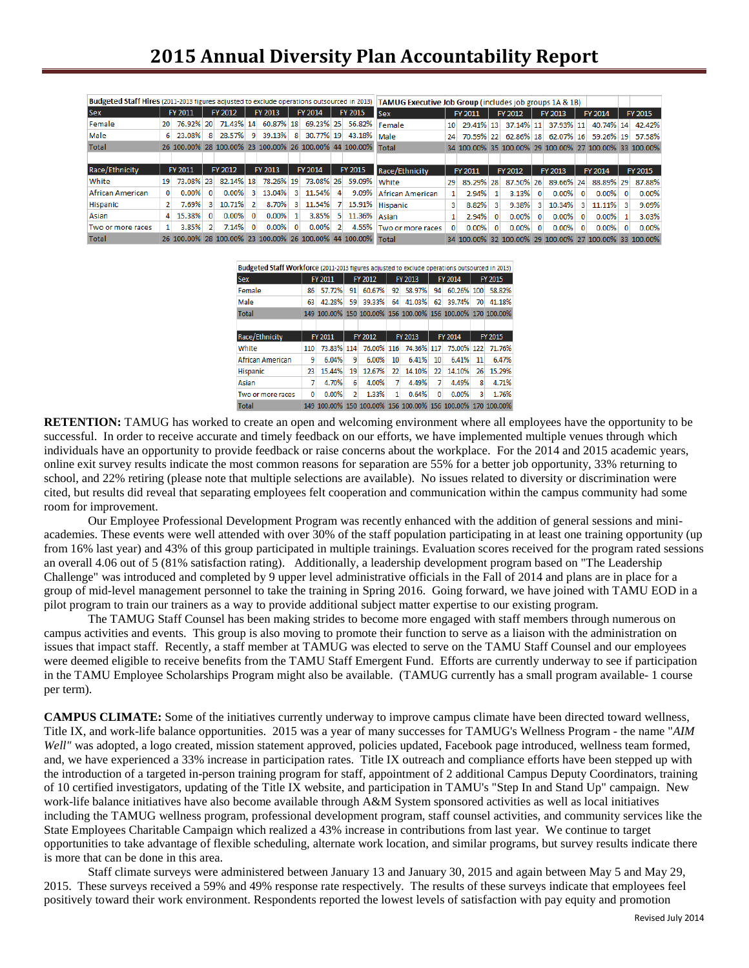| Budgeted Staff Hires (2011-2013 figures adjusted to exclude operations outsourced in 2013) |                 |           |          |                                                              |                |           | TAMUG Executive Job Group (includes job groups 1A & 1B) |           |         |                                                              |                         |                 |           |          |           |          |           |          |           |          |                                                        |
|--------------------------------------------------------------------------------------------|-----------------|-----------|----------|--------------------------------------------------------------|----------------|-----------|---------------------------------------------------------|-----------|---------|--------------------------------------------------------------|-------------------------|-----------------|-----------|----------|-----------|----------|-----------|----------|-----------|----------|--------------------------------------------------------|
| <b>Sex</b>                                                                                 |                 | FY 2011   |          | FY 2012                                                      |                | FY 2013   |                                                         | FY 2014   | FY 2015 |                                                              | <b>Sex</b>              |                 | FY 2011   |          | FY 2012   |          | FY 2013   |          | FY 2014   |          | FY 2015                                                |
| Female                                                                                     | 20 <sup>1</sup> | 76.92% 20 |          | 71.43% 14                                                    |                | 60.87% 18 |                                                         | 69.23% 25 |         | 56.82%                                                       | Female                  | 10 <sup>1</sup> | 29.41% 13 |          | 37.14% 11 |          | 37.93% 11 |          | 40.74% 14 |          | 42.42%                                                 |
| Male                                                                                       | 6.              | 23.08%    | 8        | 28.57% 9                                                     |                | 39.13%    | 8                                                       | 30.77% 19 |         | 43.18%                                                       | Male                    | 24              | 70.59% 22 |          |           |          |           |          |           |          | 62.86% 18 62.07% 16 59.26% 19 57.58%                   |
| <b>Total</b>                                                                               |                 |           |          |                                                              |                |           |                                                         |           |         | 26 100.00% 28 100.00% 23 100.00% 26 100.00% 44 100.00% Total |                         |                 |           |          |           |          |           |          |           |          | 34 100.00% 35 100.00% 29 100.00% 27 100.00% 33 100.00% |
|                                                                                            |                 |           |          |                                                              |                |           |                                                         |           |         |                                                              |                         |                 |           |          |           |          |           |          |           |          |                                                        |
| Race/Ethnicity                                                                             |                 | FY 2011   |          | FY 2012                                                      |                | FY 2013   |                                                         | FY 2014   |         | FY 2015                                                      | Race/Ethnicity          |                 | FY 2011   |          | FY 2012   |          | FY 2013   |          | FY 2014   |          | FY 2015                                                |
| White                                                                                      | 19              | 73.08% 23 |          | 82.14% 18                                                    |                | 78.26% 19 |                                                         | 73.08% 26 |         | 59.09%                                                       | White                   | 29              | 85.29% 28 |          | 87.50% 26 |          | 89.66% 24 |          | 88.89% 29 |          | 87.88%                                                 |
| African American                                                                           | $\Omega$        | $0.00\%$  | $\Omega$ | 0.00%                                                        | 3              | 13.04%    | $\mathbf{R}$                                            | 11.54%    | Δ       | 9.09%                                                        | <b>African American</b> |                 | 2.94%     |          | 3.13%     | $\Omega$ | $0.00\%$  | $\Omega$ | $0.00\%$  | $\Omega$ | 0.00%                                                  |
| Hispanic                                                                                   |                 | 7.69%     | 3.       | 10.71%                                                       | $\mathcal{P}$  | 8.70%     | 3                                                       | 11.54%    |         | 15.91%                                                       | Hispanic                |                 | 8.82%     | 3        | 9.38%     | з        | 10.34%    | 31       | 11.11%    |          | 9.09%                                                  |
| Asian                                                                                      | 4               | 15.38%    | $\Omega$ | 0.00%                                                        | $\Omega$       | 0.00%     |                                                         | 3.85%     | 5.      | 11.36%                                                       | Asian                   |                 | 2.94%     | $\Omega$ | $0.00\%$  |          | 0.00%     | $\Omega$ | $0.00\%$  |          | 3.03%                                                  |
| Two or more races                                                                          |                 | 3.85%     |          | 7.14%                                                        | $\overline{0}$ | 0.00%     | $\mathbf{0}$                                            | $0.00\%$  |         | 4.55%                                                        | Two or more races       |                 | $0.00\%$  | $\Omega$ | $0.00\%$  | $\Omega$ | 0.00%     | $\Omega$ | $0.00\%$  | $\Omega$ | 0.00%                                                  |
| Total                                                                                      |                 |           |          | 26 100.00% 28 100.00% 23 100.00% 26 100.00% 44 100.00% Total |                |           |                                                         |           |         |                                                              |                         |                 |           |          |           |          |           |          |           |          | 34 100.00% 32 100.00% 29 100.00% 27 100.00% 33 100.00% |

| Budgeted Staff Workforce (2011-2013 figures adjusted to exclude operations outsourced in 2013) |         |                                                             |    |            |    |            |    |            |         |                                                             |  |  |
|------------------------------------------------------------------------------------------------|---------|-------------------------------------------------------------|----|------------|----|------------|----|------------|---------|-------------------------------------------------------------|--|--|
| <b>Sex</b>                                                                                     |         | FY 2011                                                     |    | FY 2012    |    | FY 2013    |    | FY 2014    | FY 2015 |                                                             |  |  |
| Female                                                                                         | 86      | 57.72%                                                      | 91 | 60.67%     | 92 | 58.97%     | 94 | 60.26% 100 |         | 58.82%                                                      |  |  |
| Male                                                                                           | 63      | 42.28%                                                      | 59 | 39.33%     | 64 | 41.03%     | 62 | 39.74%     | 70      | 41.18%                                                      |  |  |
| <b>Total</b>                                                                                   |         | 149 100.00% 150 100.00% 156 100.00% 156 100.00% 170 100.00% |    |            |    |            |    |            |         |                                                             |  |  |
|                                                                                                |         |                                                             |    |            |    |            |    |            |         |                                                             |  |  |
| Race/Ethnicity                                                                                 | FY 2011 |                                                             |    | FY 2012    |    | FY 2013    |    | FY 2014    | FY 2015 |                                                             |  |  |
| White                                                                                          | 110     | 73.83% 114                                                  |    | 76.00% 116 |    | 74.36% 117 |    | 75.00% 122 |         | 71.76%                                                      |  |  |
| <b>African American</b>                                                                        | 9       | 6.04%                                                       | 9  | 6.00%      | 10 | 6.41%      | 10 | 6.41%      | 11      | 6.47%                                                       |  |  |
| Hispanic                                                                                       | 23      | 15.44%                                                      | 19 | 12.67%     | 22 | 14.10%     | 22 | 14.10%     | 26      | 15.29%                                                      |  |  |
| Asian                                                                                          | 7       | 4.70%                                                       | 6  | 4.00%      | 7  | 4.49%      | 7  | 4.49%      | 8       | 4.71%                                                       |  |  |
| Two or more races                                                                              | 0       | 0.00%                                                       | 2  | 1.33%      | 1  | 0.64%      | 0  | $0.00\%$   | 3       | 1.76%                                                       |  |  |
| <b>Total</b>                                                                                   |         |                                                             |    |            |    |            |    |            |         | 149 100.00% 150 100.00% 156 100.00% 156 100.00% 170 100.00% |  |  |

**RETENTION:** TAMUG has worked to create an open and welcoming environment where all employees have the opportunity to be successful. In order to receive accurate and timely feedback on our efforts, we have implemented multiple venues through which individuals have an opportunity to provide feedback or raise concerns about the workplace. For the 2014 and 2015 academic years, online exit survey results indicate the most common reasons for separation are 55% for a better job opportunity, 33% returning to school, and 22% retiring (please note that multiple selections are available). No issues related to diversity or discrimination were cited, but results did reveal that separating employees felt cooperation and communication within the campus community had some room for improvement.

Our Employee Professional Development Program was recently enhanced with the addition of general sessions and miniacademies. These events were well attended with over 30% of the staff population participating in at least one training opportunity (up from 16% last year) and 43% of this group participated in multiple trainings. Evaluation scores received for the program rated sessions an overall 4.06 out of 5 (81% satisfaction rating). Additionally, a leadership development program based on "The Leadership Challenge" was introduced and completed by 9 upper level administrative officials in the Fall of 2014 and plans are in place for a group of mid-level management personnel to take the training in Spring 2016. Going forward, we have joined with TAMU EOD in a pilot program to train our trainers as a way to provide additional subject matter expertise to our existing program.

The TAMUG Staff Counsel has been making strides to become more engaged with staff members through numerous on campus activities and events. This group is also moving to promote their function to serve as a liaison with the administration on issues that impact staff. Recently, a staff member at TAMUG was elected to serve on the TAMU Staff Counsel and our employees were deemed eligible to receive benefits from the TAMU Staff Emergent Fund. Efforts are currently underway to see if participation in the TAMU Employee Scholarships Program might also be available. (TAMUG currently has a small program available- 1 course per term).

**CAMPUS CLIMATE:** Some of the initiatives currently underway to improve campus climate have been directed toward wellness, Title IX, and work-life balance opportunities. 2015 was a year of many successes for TAMUG's Wellness Program - the name "*AIM Well"* was adopted, a logo created, mission statement approved, policies updated, Facebook page introduced, wellness team formed, and, we have experienced a 33% increase in participation rates. Title IX outreach and compliance efforts have been stepped up with the introduction of a targeted in-person training program for staff, appointment of 2 additional Campus Deputy Coordinators, training of 10 certified investigators, updating of the Title IX website, and participation in TAMU's "Step In and Stand Up" campaign. New work-life balance initiatives have also become available through A&M System sponsored activities as well as local initiatives including the TAMUG wellness program, professional development program, staff counsel activities, and community services like the State Employees Charitable Campaign which realized a 43% increase in contributions from last year. We continue to target opportunities to take advantage of flexible scheduling, alternate work location, and similar programs, but survey results indicate there is more that can be done in this area.

Staff climate surveys were administered between January 13 and January 30, 2015 and again between May 5 and May 29, 2015. These surveys received a 59% and 49% response rate respectively. The results of these surveys indicate that employees feel positively toward their work environment. Respondents reported the lowest levels of satisfaction with pay equity and promotion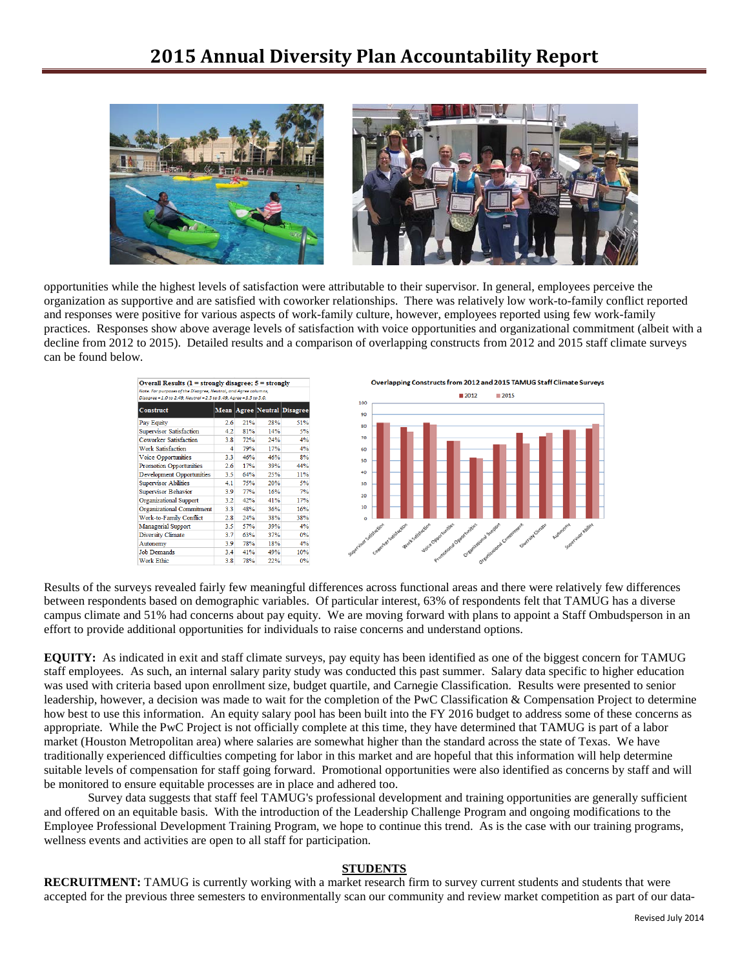## **2015 Annual Diversity Plan Accountability Report**



opportunities while the highest levels of satisfaction were attributable to their supervisor. In general, employees perceive the organization as supportive and are satisfied with coworker relationships. There was relatively low work-to-family conflict reported and responses were positive for various aspects of work-family culture, however, employees reported using few work-family practices. Responses show above average levels of satisfaction with voice opportunities and organizational commitment (albeit with a decline from 2012 to 2015). Detailed results and a comparison of overlapping constructs from 2012 and 2015 staff climate surveys can be found below.





Results of the surveys revealed fairly few meaningful differences across functional areas and there were relatively few differences between respondents based on demographic variables. Of particular interest, 63% of respondents felt that TAMUG has a diverse campus climate and 51% had concerns about pay equity. We are moving forward with plans to appoint a Staff Ombudsperson in an effort to provide additional opportunities for individuals to raise concerns and understand options.

**EQUITY:** As indicated in exit and staff climate surveys, pay equity has been identified as one of the biggest concern for TAMUG staff employees. As such, an internal salary parity study was conducted this past summer. Salary data specific to higher education was used with criteria based upon enrollment size, budget quartile, and Carnegie Classification. Results were presented to senior leadership, however, a decision was made to wait for the completion of the PwC Classification & Compensation Project to determine how best to use this information. An equity salary pool has been built into the FY 2016 budget to address some of these concerns as appropriate. While the PwC Project is not officially complete at this time, they have determined that TAMUG is part of a labor market (Houston Metropolitan area) where salaries are somewhat higher than the standard across the state of Texas. We have traditionally experienced difficulties competing for labor in this market and are hopeful that this information will help determine suitable levels of compensation for staff going forward. Promotional opportunities were also identified as concerns by staff and will be monitored to ensure equitable processes are in place and adhered too.

Survey data suggests that staff feel TAMUG's professional development and training opportunities are generally sufficient and offered on an equitable basis. With the introduction of the Leadership Challenge Program and ongoing modifications to the Employee Professional Development Training Program, we hope to continue this trend. As is the case with our training programs, wellness events and activities are open to all staff for participation.

#### **STUDENTS**

**RECRUITMENT:** TAMUG is currently working with a market research firm to survey current students and students that were accepted for the previous three semesters to environmentally scan our community and review market competition as part of our data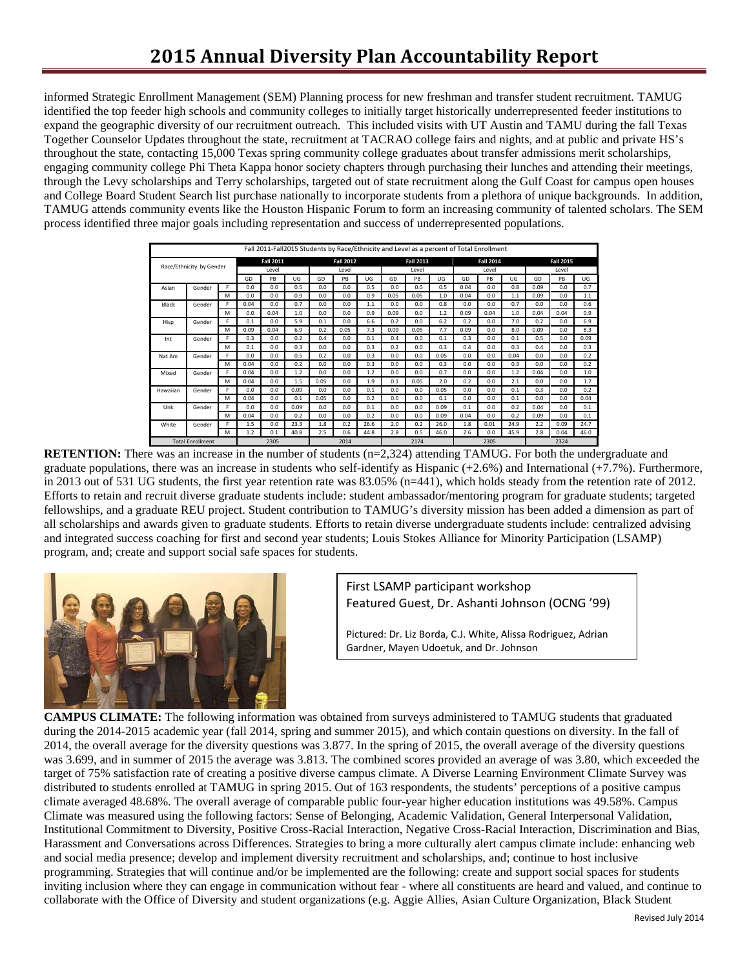informed Strategic Enrollment Management (SEM) Planning process for new freshman and transfer student recruitment. TAMUG identified the top feeder high schools and community colleges to initially target historically underrepresented feeder institutions to expand the geographic diversity of our recruitment outreach. This included visits with UT Austin and TAMU during the fall Texas Together Counselor Updates throughout the state, recruitment at TACRAO college fairs and nights, and at public and private HS's throughout the state, contacting 15,000 Texas spring community college graduates about transfer admissions merit scholarships, engaging community college Phi Theta Kappa honor society chapters through purchasing their lunches and attending their meetings, through the Levy scholarships and Terry scholarships, targeted out of state recruitment along the Gulf Coast for campus open houses and College Board Student Search list purchase nationally to incorporate students from a plethora of unique backgrounds. In addition, TAMUG attends community events like the Houston Hispanic Forum to form an increasing community of talented scholars. The SEM process identified three major goals including representation and success of underrepresented populations.

|                          |        |   |      | Fall 2011-Fall2015 Students by Race/Ethnicity and Level as a percent of Total Enrollment |      |       |                  |      |                  |      |      |      |                  |      |                  |      |      |  |
|--------------------------|--------|---|------|------------------------------------------------------------------------------------------|------|-------|------------------|------|------------------|------|------|------|------------------|------|------------------|------|------|--|
|                          |        |   |      | <b>Fall 2011</b>                                                                         |      |       | <b>Fall 2012</b> |      | <b>Fall 2013</b> |      |      |      | <b>Fall 2014</b> |      | <b>Fall 2015</b> |      |      |  |
| Race/Ethnicity by Gender |        |   |      | Level                                                                                    |      | Level |                  |      | Level            |      |      |      | Level            |      | Level            |      |      |  |
|                          |        |   | GD   | PB                                                                                       | UG   | GD    | PB               | UG   | GD               | PB   | UG   | GD   | PB               | UG   | GD               | PB   | UG   |  |
| Asian                    | Gender | F | 0.0  | 0.0                                                                                      | 0.5  | 0.0   | 0.0              | 0.5  | 0.0              | 0.0  | 0.5  | 0.04 | 0.0              | 0.8  | 0.09             | 0.0  | 0.7  |  |
|                          |        | M | 0.0  | 0.0                                                                                      | 0.9  | 0.0   | 0.0              | 0.9  | 0.05             | 0.05 | 1.0  | 0.04 | 0.0              | 1.1  | 0.09             | 0.0  | 1.1  |  |
| Black                    | Gender | F | 0.04 | 0.0                                                                                      | 0.7  | 0.0   | 0.0              | 1.1  | 0.0              | 0.0  | 0.8  | 0.0  | 0.0              | 0.7  | 0.0              | 0.0  | 0.6  |  |
|                          |        | M | 0.0  | 0.04                                                                                     | 1.0  | 0.0   | 0.0              | 0.9  | 0.09             | 0.0  | 1.2  | 0.09 | 0.04             | 1.0  | 0.04             | 0.04 | 0.9  |  |
| Hisp                     | Gender | F | 0.1  | 0.0                                                                                      | 5.9  | 0.1   | 0.0              | 6.6  | 0.2              | 0.0  | 6.2  | 0.2  | 0.0              | 7.0  | 0.2              | 0.0  | 6.9  |  |
|                          |        | M | 0.09 | 0.04                                                                                     | 6.9  | 0.2   | 0.05             | 7.3  | 0.09             | 0.05 | 7.7  | 0.09 | 0.0              | 8.0  | 0.09             | 0.0  | 8.3  |  |
| Int                      | Gender | F | 0.3  | 0.0                                                                                      | 0.2  | 0.4   | 0.0              | 0.1  | 0.4              | 0.0  | 0.1  | 0.3  | 0.0              | 0.1  | 0.5              | 0.0  | 0.09 |  |
|                          |        | M | 0.1  | 0.0                                                                                      | 0.3  | 0.0   | 0.0              | 0.3  | 0.2              | 0.0  | 0.3  | 0.4  | 0.0              | 0.3  | 0.4              | 0.0  | 0.3  |  |
| Nat Am                   | Gender | F | 0.0  | 0.0                                                                                      | 0.5  | 0.2   | 0.0              | 0.3  | 0.0              | 0.0  | 0.05 | 0.0  | 0.0              | 0.04 | 0.0              | 0.0  | 0.2  |  |
|                          |        | M | 0.04 | 0.0                                                                                      | 0.2  | 0.0   | 0.0              | 0.3  | 0.0              | 0.0  | 0.3  | 0.0  | 0.0              | 0.3  | 0.0              | 0.0  | 0.2  |  |
| Mixed                    | Gender | F | 0.04 | 0.0                                                                                      | 1.2  | 0.0   | 0.0              | 1.2  | 0.0              | 0.0  | 0.7  | 0.0  | 0.0              | 1.2  | 0.04             | 0.0  | 1.0  |  |
|                          |        | M | 0.04 | 0.0                                                                                      | 1.5  | 0.05  | 0.0              | 1.9  | 0.1              | 0.05 | 2.0  | 0.2  | 0.0              | 2.1  | 0.0              | 0.0  | 1.7  |  |
| Hawaiian                 | Gender | F | 0.0  | 0.0                                                                                      | 0.09 | 0.0   | 0.0              | 0.1  | 0.0              | 0.0  | 0.05 | 0.0  | 0.0              | 0.1  | 0.3              | 0.0  | 0.2  |  |
|                          |        | M | 0.04 | 0.0                                                                                      | 0.1  | 0.05  | 0.0              | 0.2  | 0.0              | 0.0  | 0.1  | 0.0  | 0.0              | 0.1  | 0.0              | 0.0  | 0.04 |  |
| Unk                      | Gender | F | 0.0  | 0.0                                                                                      | 0.09 | 0.0   | 0.0              | 0.1  | 0.0              | 0.0  | 0.09 | 0.1  | 0.0              | 0.2  | 0.04             | 0.0  | 0.1  |  |
|                          |        | M | 0.04 | 0.0                                                                                      | 0.2  | 0.0   | 0.0              | 0.2  | 0.0              | 0.0  | 0.09 | 0.04 | 0.0              | 0.2  | 0.09             | 0.0  | 0.1  |  |
| White                    | Gender | F | 1.5  | 0.0                                                                                      | 23.3 | 1.8   | 0.2              | 26.6 | 2.0              | 0.2  | 26.0 | 1.8  | 0.01             | 24.9 | 2.2              | 0.09 | 24.7 |  |
|                          |        | м | 1.2  | 0.1                                                                                      | 40.8 | 2.5   | 0.6              | 44.8 | 2.8              | 0.5  | 46.0 | 2.6  | 0.0              | 45.9 | 2.8              | 0.04 | 46.0 |  |
| <b>Total Enrollment</b>  |        |   |      | 2305                                                                                     |      |       | 2014             |      |                  | 2174 |      |      | 2305             |      | 2324             |      |      |  |

**RETENTION:** There was an increase in the number of students (n=2,324) attending TAMUG. For both the undergraduate and graduate populations, there was an increase in students who self-identify as Hispanic  $(+2.6%)$  and International  $(+7.7%)$ . Furthermore, in 2013 out of 531 UG students, the first year retention rate was 83.05% (n=441), which holds steady from the retention rate of 2012. Efforts to retain and recruit diverse graduate students include: student ambassador/mentoring program for graduate students; targeted fellowships, and a graduate REU project. Student contribution to TAMUG's diversity mission has been added a dimension as part of all scholarships and awards given to graduate students. Efforts to retain diverse undergraduate students include: centralized advising and integrated success coaching for first and second year students; Louis Stokes Alliance for Minority Participation (LSAMP) program, and; create and support social safe spaces for students.



First LSAMP participant workshop Featured Guest, Dr. Ashanti Johnson (OCNG '99)

Pictured: Dr. Liz Borda, C.J. White, Alissa Rodriguez, Adrian Gardner, Mayen Udoetuk, and Dr. Johnson

**CAMPUS CLIMATE:** The following information was obtained from surveys administered to TAMUG students that graduated during the 2014-2015 academic year (fall 2014, spring and summer 2015), and which contain questions on diversity. In the fall of 2014, the overall average for the diversity questions was 3.877. In the spring of 2015, the overall average of the diversity questions was 3.699, and in summer of 2015 the average was 3.813. The combined scores provided an average of was 3.80, which exceeded the target of 75% satisfaction rate of creating a positive diverse campus climate. A Diverse Learning Environment Climate Survey was distributed to students enrolled at TAMUG in spring 2015. Out of 163 respondents, the students' perceptions of a positive campus climate averaged 48.68%. The overall average of comparable public four-year higher education institutions was 49.58%. Campus Climate was measured using the following factors: Sense of Belonging, Academic Validation, General Interpersonal Validation, Institutional Commitment to Diversity, Positive Cross-Racial Interaction, Negative Cross-Racial Interaction, Discrimination and Bias, Harassment and Conversations across Differences. Strategies to bring a more culturally alert campus climate include: enhancing web and social media presence; develop and implement diversity recruitment and scholarships, and; continue to host inclusive programming. Strategies that will continue and/or be implemented are the following: create and support social spaces for students inviting inclusion where they can engage in communication without fear - where all constituents are heard and valued, and continue to collaborate with the Office of Diversity and student organizations (e.g. Aggie Allies, Asian Culture Organization, Black Student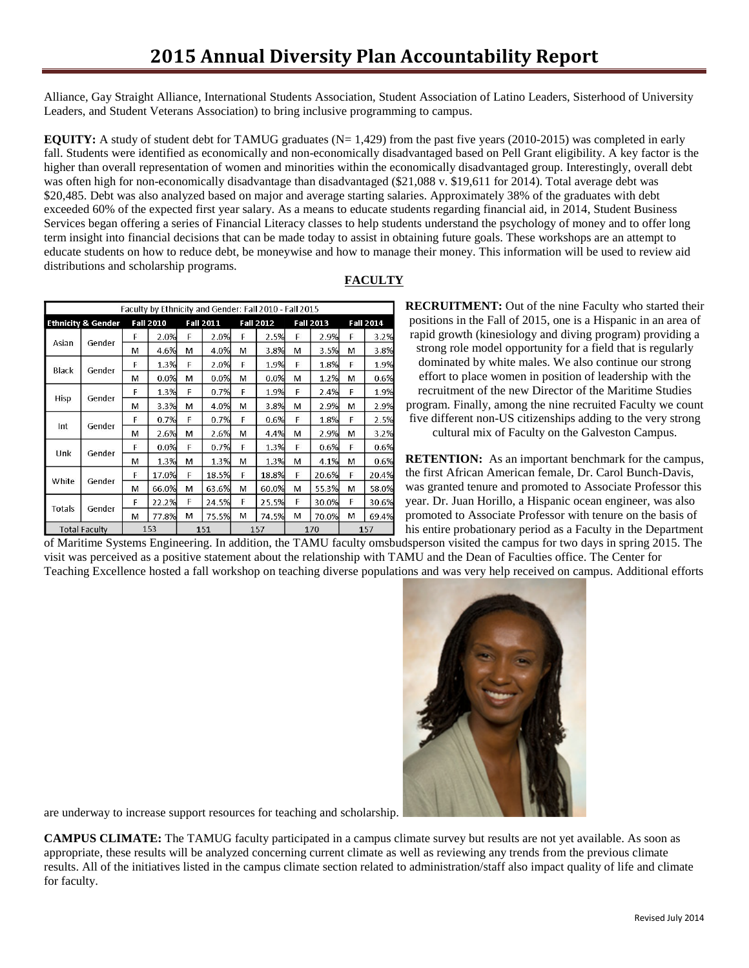Alliance, Gay Straight Alliance, International Students Association, Student Association of Latino Leaders, Sisterhood of University Leaders, and Student Veterans Association) to bring inclusive programming to campus.

**EQUITY:** A study of student debt for TAMUG graduates ( $N=1,429$ ) from the past five years (2010-2015) was completed in early fall. Students were identified as economically and non-economically disadvantaged based on Pell Grant eligibility. A key factor is the higher than overall representation of women and minorities within the economically disadvantaged group. Interestingly, overall debt was often high for non-economically disadvantage than disadvantaged (\$21,088 v. \$19,611 for 2014). Total average debt was \$20,485. Debt was also analyzed based on major and average starting salaries. Approximately 38% of the graduates with debt exceeded 60% of the expected first year salary. As a means to educate students regarding financial aid, in 2014, Student Business Services began offering a series of Financial Literacy classes to help students understand the psychology of money and to offer long term insight into financial decisions that can be made today to assist in obtaining future goals. These workshops are an attempt to educate students on how to reduce debt, be moneywise and how to manage their money. This information will be used to review aid distributions and scholarship programs.

| 1 ACULI |  |
|---------|--|
|         |  |
|         |  |
|         |  |
|         |  |
|         |  |

|                      |                               |    |                  |   |                  |   | Faculty by Ethnicity and Gender: Fall 2010 - Fall 2015 |   |                  |                  |       |  |
|----------------------|-------------------------------|----|------------------|---|------------------|---|--------------------------------------------------------|---|------------------|------------------|-------|--|
|                      | <b>Ethnicity &amp; Gender</b> |    | <b>Fall 2010</b> |   | <b>Fall 2011</b> |   | <b>Fall 2012</b>                                       |   | <b>Fall 2013</b> | <b>Fall 2014</b> |       |  |
| Asian                |                               | F  | 2.0%             | F | 2.0%             | F | 2.5%                                                   | F | 2.9%             | F                | 3.2%  |  |
|                      | Gender                        | м  | 4.6%             | М | 4.0%             | М | 3.8%                                                   | М | 3.5%             | М                | 3.8%  |  |
|                      |                               | F  | 1.3%             | F | 2.0%             | F | 1.9%                                                   | F | 1.8%             | F                | 1.9%  |  |
| Black                | Gender                        | м  | 0.0%             | м | 0.0%             | м | 0.0%                                                   | м | 1.2%             | м                | 0.6%  |  |
| <b>Hisp</b>          |                               | F  | 1.3%             | F | 0.7%             | E | 1.9%                                                   | F | 2.4%             | F                | 19%   |  |
|                      | Gender                        | м  | 3.3%             | М | 4.0%             | м | 3.8%                                                   | М | 2.9%             | м                | 2.9%  |  |
|                      |                               | F  | 0.7%             | F | 0.7%             | F | 0.6%                                                   | F | 1.8%             | F                | 2.5%  |  |
| Int                  | Gender                        | м  | 2.6%             | м | 2.6%             | м | 4.4%                                                   | М | 2.9%             | М                | 3.2%  |  |
|                      |                               | F  | 0.0%             | E | 0.7%             | F | 1.3%                                                   | F | 0.6%             | F                | 0.6%  |  |
| Unk                  | Gender                        | м  | 1.3%             | м | 1.3%             | м | 1.3%                                                   | м | 4.1%             | м                | 0.6%  |  |
|                      |                               | F. | 17.0%            | E | 18.5%            | F | 18.8%                                                  | F | 20.6%            | F                | 20.4% |  |
| White                | Gender                        | м  | 66.0%            | M | 63.6%            | М | 60.0%                                                  | М | 55.3%            | м                | 58.0% |  |
|                      |                               | F  | 22.2%            | F | 24.5%            | F | 25.5%                                                  | F | 30.0%            | F                | 30.6% |  |
| Totals               | Gender                        | м  | 77.8%            | м | 75.5%            | м | 74.5%                                                  | М | 70.0%            | м                | 69.4% |  |
| <b>Total Faculty</b> |                               |    | 153              |   | 151              |   | 157                                                    |   | 170              | 157              |       |  |

**FACULTY**

**RECRUITMENT:** Out of the nine Faculty who started their positions in the Fall of 2015, one is a Hispanic in an area of rapid growth (kinesiology and diving program) providing a strong role model opportunity for a field that is regularly dominated by white males. We also continue our strong effort to place women in position of leadership with the recruitment of the new Director of the Maritime Studies program. Finally, among the nine recruited Faculty we count five different non-US citizenships adding to the very strong

cultural mix of Faculty on the Galveston Campus.

**RETENTION:** As an important benchmark for the campus, the first African American female, Dr. Carol Bunch-Davis, was granted tenure and promoted to Associate Professor this year. Dr. Juan Horillo, a Hispanic ocean engineer, was also promoted to Associate Professor with tenure on the basis of his entire probationary period as a Faculty in the Department

of Maritime Systems Engineering. In addition, the TAMU faculty omsbudsperson visited the campus for two days in spring 2015. The visit was perceived as a positive statement about the relationship with TAMU and the Dean of Faculties office. The Center for Teaching Excellence hosted a fall workshop on teaching diverse populations and was very help received on campus. Additional efforts



are underway to increase support resources for teaching and scholarship.

**CAMPUS CLIMATE:** The TAMUG faculty participated in a campus climate survey but results are not yet available. As soon as appropriate, these results will be analyzed concerning current climate as well as reviewing any trends from the previous climate results. All of the initiatives listed in the campus climate section related to administration/staff also impact quality of life and climate for faculty.